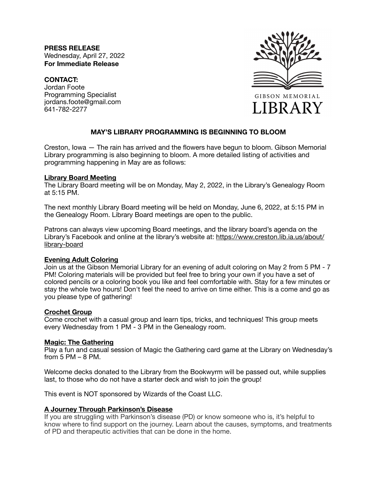**PRESS RELEASE** Wednesday, April 27, 2022 **For Immediate Release** 

### **CONTACT:**

Jordan Foote Programming Specialist jordans.foote@gmail.com 641-782-2277



# **MAY'S LIBRARY PROGRAMMING IS BEGINNING TO BLOOM**

Creston, Iowa — The rain has arrived and the flowers have begun to bloom. Gibson Memorial Library programming is also beginning to bloom. A more detailed listing of activities and programming happening in May are as follows:

#### **Library Board Meeting**

The Library Board meeting will be on Monday, May 2, 2022, in the Library's Genealogy Room at 5:15 PM.

The next monthly Library Board meeting will be held on Monday, June 6, 2022, at 5:15 PM in the Genealogy Room. Library Board meetings are open to the public.

Patrons can always view upcoming Board meetings, and the library board's agenda on the Library's Facebook and online at the library's website at: [https://www.creston.lib.ia.us/about/](https://www.creston.lib.ia.us/about/library-board) [library-board](https://www.creston.lib.ia.us/about/library-board)

# **Evening Adult Coloring**

Join us at the Gibson Memorial Library for an evening of adult coloring on May 2 from 5 PM - 7 PM! Coloring materials will be provided but feel free to bring your own if you have a set of colored pencils or a coloring book you like and feel comfortable with. Stay for a few minutes or stay the whole two hours! Don't feel the need to arrive on time either. This is a come and go as you please type of gathering!

# **Crochet Group**

Come crochet with a casual group and learn tips, tricks, and techniques! This group meets every Wednesday from 1 PM - 3 PM in the Genealogy room.

# **Magic: The Gathering**

Play a fun and casual session of Magic the Gathering card game at the Library on Wednesday's from 5 PM – 8 PM.

Welcome decks donated to the Library from the Bookwyrm will be passed out, while supplies last, to those who do not have a starter deck and wish to join the group!

This event is NOT sponsored by Wizards of the Coast LLC.

# **A Journey Through Parkinson's Disease**

If you are struggling with Parkinson's disease (PD) or know someone who is, it's helpful to know where to find support on the journey. Learn about the causes, symptoms, and treatments of PD and therapeutic activities that can be done in the home.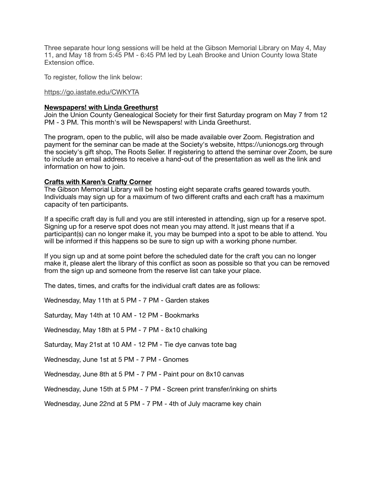Three separate hour long sessions will be held at the Gibson Memorial Library on May 4, May 11, and May 18 from 5:45 PM - 6:45 PM led by Leah Brooke and Union County Iowa State Extension office.

To register, follow the link below:

### <https://go.iastate.edu/CWKYTA>

#### **Newspapers! with Linda Greethurst**

Join the Union County Genealogical Society for their first Saturday program on May 7 from 12 PM - 3 PM. This month's will be Newspapers! with Linda Greethurst.

The program, open to the public, will also be made available over Zoom. Registration and payment for the seminar can be made at the Society's website, https://unioncgs.org through the society's gift shop, The Roots Seller. If registering to attend the seminar over Zoom, be sure to include an email address to receive a hand-out of the presentation as well as the link and information on how to join.

# **Crafts with Karen's Crafty Corner**

The Gibson Memorial Library will be hosting eight separate crafts geared towards youth. Individuals may sign up for a maximum of two different crafts and each craft has a maximum capacity of ten participants.

If a specific craft day is full and you are still interested in attending, sign up for a reserve spot. Signing up for a reserve spot does not mean you may attend. It just means that if a participant(s) can no longer make it, you may be bumped into a spot to be able to attend. You will be informed if this happens so be sure to sign up with a working phone number.

If you sign up and at some point before the scheduled date for the craft you can no longer make it, please alert the library of this conflict as soon as possible so that you can be removed from the sign up and someone from the reserve list can take your place.

The dates, times, and crafts for the individual craft dates are as follows:

Wednesday, May 11th at 5 PM - 7 PM - Garden stakes

Saturday, May 14th at 10 AM - 12 PM - Bookmarks

Wednesday, May 18th at 5 PM - 7 PM - 8x10 chalking

Saturday, May 21st at 10 AM - 12 PM - Tie dye canvas tote bag

Wednesday, June 1st at 5 PM - 7 PM - Gnomes

Wednesday, June 8th at 5 PM - 7 PM - Paint pour on 8x10 canvas

Wednesday, June 15th at 5 PM - 7 PM - Screen print transfer/inking on shirts

Wednesday, June 22nd at 5 PM - 7 PM - 4th of July macrame key chain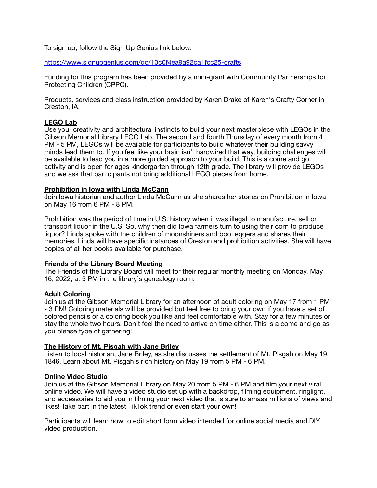To sign up, follow the Sign Up Genius link below:

<https://www.signupgenius.com/go/10c0f4ea9a92ca1fcc25-crafts>

Funding for this program has been provided by a mini-grant with Community Partnerships for Protecting Children (CPPC).

Products, services and class instruction provided by Karen Drake of Karen's Crafty Corner in Creston, IA.

# **LEGO Lab**

Use your creativity and architectural instincts to build your next masterpiece with LEGOs in the Gibson Memorial Library LEGO Lab. The second and fourth Thursday of every month from 4 PM - 5 PM, LEGOs will be available for participants to build whatever their building savvy minds lead them to. If you feel like your brain isn't hardwired that way, building challenges will be available to lead you in a more guided approach to your build. This is a come and go activity and is open for ages kindergarten through 12th grade. The library will provide LEGOs and we ask that participants not bring additional LEGO pieces from home.

# **Prohibition in Iowa with Linda McCann**

Join Iowa historian and author Linda McCann as she shares her stories on Prohibition in Iowa on May 16 from 6 PM - 8 PM.

Prohibition was the period of time in U.S. history when it was illegal to manufacture, sell or transport liquor in the U.S. So, why then did Iowa farmers turn to using their corn to produce liquor? Linda spoke with the children of moonshiners and bootleggers and shares their memories. Linda will have specific instances of Creston and prohibition activities. She will have copies of all her books available for purchase.

# **Friends of the Library Board Meeting**

The Friends of the Library Board will meet for their regular monthly meeting on Monday, May 16, 2022, at 5 PM in the library's genealogy room.

# **Adult Coloring**

Join us at the Gibson Memorial Library for an afternoon of adult coloring on May 17 from 1 PM - 3 PM! Coloring materials will be provided but feel free to bring your own if you have a set of colored pencils or a coloring book you like and feel comfortable with. Stay for a few minutes or stay the whole two hours! Don't feel the need to arrive on time either. This is a come and go as you please type of gathering!

# **The History of Mt. Pisgah with Jane Briley**

Listen to local historian, Jane Briley, as she discusses the settlement of Mt. Pisgah on May 19, 1846. Learn about Mt. Pisgah's rich history on May 19 from 5 PM - 6 PM.

# **Online Video Studio**

Join us at the Gibson Memorial Library on May 20 from 5 PM - 6 PM and film your next viral online video. We will have a video studio set up with a backdrop, filming equipment, ringlight, and accessories to aid you in filming your next video that is sure to amass millions of views and likes! Take part in the latest TikTok trend or even start your own!

Participants will learn how to edit short form video intended for online social media and DIY video production.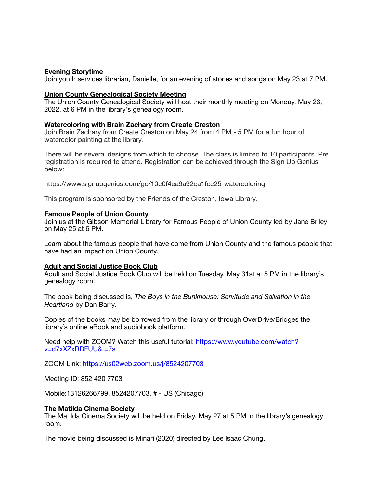#### **Evening Storytime**

Join youth services librarian, Danielle, for an evening of stories and songs on May 23 at 7 PM.

#### **Union County Genealogical Society Meeting**

The Union County Genealogical Society will host their monthly meeting on Monday, May 23, 2022, at 6 PM in the library's genealogy room.

#### **Watercoloring with Brain Zachary from Create Creston**

Join Brain Zachary from Create Creston on May 24 from 4 PM - 5 PM for a fun hour of watercolor painting at the library.

There will be several designs from which to choose. The class is limited to 10 participants. Pre registration is required to attend. Registration can be achieved through the Sign Up Genius below:

<https://www.signupgenius.com/go/10c0f4ea9a92ca1fcc25-watercoloring>

This program is sponsored by the Friends of the Creston, Iowa Library.

#### **Famous People of Union County**

Join us at the Gibson Memorial Library for Famous People of Union County led by Jane Briley on May 25 at 6 PM.

Learn about the famous people that have come from Union County and the famous people that have had an impact on Union County.

#### **Adult and Social Justice Book Club**

Adult and Social Justice Book Club will be held on Tuesday, May 31st at 5 PM in the library's genealogy room.

The book being discussed is, *The Boys in the Bunkhouse: Servitude and Salvation in the Heartland* by Dan Barry.

Copies of the books may be borrowed from the library or through OverDrive/Bridges the library's online eBook and audiobook platform.

Need help with ZOOM? Watch this useful tutorial: [https://www.youtube.com/watch?](https://www.youtube.com/watch?v=d7xXZxRDFUU&t=7s) [v=d7xXZxRDFUU&t=7s](https://www.youtube.com/watch?v=d7xXZxRDFUU&t=7s)

ZOOM Link: <https://us02web.zoom.us/j/8524207703>

Meeting ID: 852 420 7703

Mobile:13126266799, 8524207703, # - US (Chicago)

#### **The Matilda Cinema Society**

The Matilda Cinema Society will be held on Friday, May 27 at 5 PM in the library's genealogy room.

The movie being discussed is Minari (2020) directed by Lee Isaac Chung.